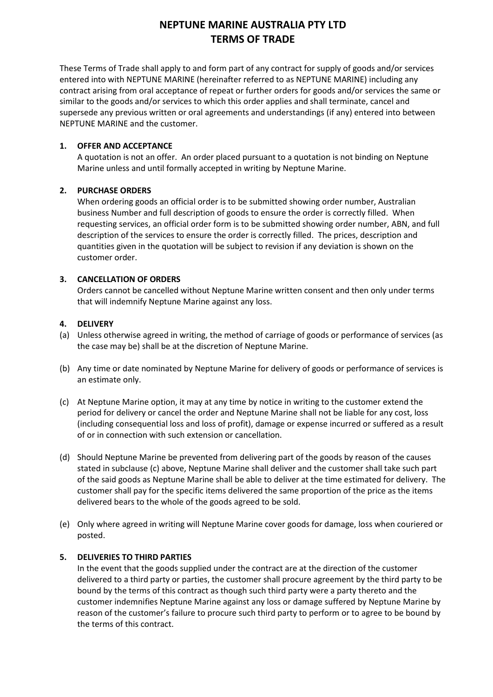These Terms of Trade shall apply to and form part of any contract for supply of goods and/or services entered into with NEPTUNE MARINE (hereinafter referred to as NEPTUNE MARINE) including any contract arising from oral acceptance of repeat or further orders for goods and/or services the same or similar to the goods and/or services to which this order applies and shall terminate, cancel and supersede any previous written or oral agreements and understandings (if any) entered into between NEPTUNE MARINE and the customer.

### **1. OFFER AND ACCEPTANCE**

A quotation is not an offer. An order placed pursuant to a quotation is not binding on Neptune Marine unless and until formally accepted in writing by Neptune Marine.

### **2. PURCHASE ORDERS**

When ordering goods an official order is to be submitted showing order number, Australian business Number and full description of goods to ensure the order is correctly filled. When requesting services, an official order form is to be submitted showing order number, ABN, and full description of the services to ensure the order is correctly filled. The prices, description and quantities given in the quotation will be subject to revision if any deviation is shown on the customer order.

### **3. CANCELLATION OF ORDERS**

Orders cannot be cancelled without Neptune Marine written consent and then only under terms that will indemnify Neptune Marine against any loss.

### **4. DELIVERY**

- (a) Unless otherwise agreed in writing, the method of carriage of goods or performance of services (as the case may be) shall be at the discretion of Neptune Marine.
- (b) Any time or date nominated by Neptune Marine for delivery of goods or performance of services is an estimate only.
- (c) At Neptune Marine option, it may at any time by notice in writing to the customer extend the period for delivery or cancel the order and Neptune Marine shall not be liable for any cost, loss (including consequential loss and loss of profit), damage or expense incurred or suffered as a result of or in connection with such extension or cancellation.
- (d) Should Neptune Marine be prevented from delivering part of the goods by reason of the causes stated in subclause (c) above, Neptune Marine shall deliver and the customer shall take such part of the said goods as Neptune Marine shall be able to deliver at the time estimated for delivery. The customer shall pay for the specific items delivered the same proportion of the price as the items delivered bears to the whole of the goods agreed to be sold.
- (e) Only where agreed in writing will Neptune Marine cover goods for damage, loss when couriered or posted.

## **5. DELIVERIES TO THIRD PARTIES**

In the event that the goods supplied under the contract are at the direction of the customer delivered to a third party or parties, the customer shall procure agreement by the third party to be bound by the terms of this contract as though such third party were a party thereto and the customer indemnifies Neptune Marine against any loss or damage suffered by Neptune Marine by reason of the customer's failure to procure such third party to perform or to agree to be bound by the terms of this contract.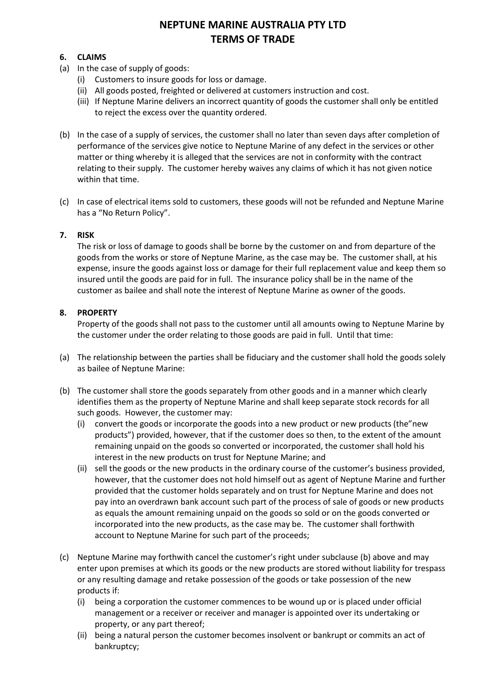## **6. CLAIMS**

- (a) In the case of supply of goods:
	- (i) Customers to insure goods for loss or damage.
	- (ii) All goods posted, freighted or delivered at customers instruction and cost.
	- (iii) If Neptune Marine delivers an incorrect quantity of goods the customer shall only be entitled to reject the excess over the quantity ordered.
- (b) In the case of a supply of services, the customer shall no later than seven days after completion of performance of the services give notice to Neptune Marine of any defect in the services or other matter or thing whereby it is alleged that the services are not in conformity with the contract relating to their supply. The customer hereby waives any claims of which it has not given notice within that time.
- (c) In case of electrical items sold to customers, these goods will not be refunded and Neptune Marine has a "No Return Policy".

## **7. RISK**

The risk or loss of damage to goods shall be borne by the customer on and from departure of the goods from the works or store of Neptune Marine, as the case may be. The customer shall, at his expense, insure the goods against loss or damage for their full replacement value and keep them so insured until the goods are paid for in full. The insurance policy shall be in the name of the customer as bailee and shall note the interest of Neptune Marine as owner of the goods.

## **8. PROPERTY**

Property of the goods shall not pass to the customer until all amounts owing to Neptune Marine by the customer under the order relating to those goods are paid in full. Until that time:

- (a) The relationship between the parties shall be fiduciary and the customer shall hold the goods solely as bailee of Neptune Marine:
- (b) The customer shall store the goods separately from other goods and in a manner which clearly identifies them as the property of Neptune Marine and shall keep separate stock records for all such goods. However, the customer may:
	- (i) convert the goods or incorporate the goods into a new product or new products (the"new products") provided, however, that if the customer does so then, to the extent of the amount remaining unpaid on the goods so converted or incorporated, the customer shall hold his interest in the new products on trust for Neptune Marine; and
	- (ii) sell the goods or the new products in the ordinary course of the customer's business provided, however, that the customer does not hold himself out as agent of Neptune Marine and further provided that the customer holds separately and on trust for Neptune Marine and does not pay into an overdrawn bank account such part of the process of sale of goods or new products as equals the amount remaining unpaid on the goods so sold or on the goods converted or incorporated into the new products, as the case may be. The customer shall forthwith account to Neptune Marine for such part of the proceeds;
- (c) Neptune Marine may forthwith cancel the customer's right under subclause (b) above and may enter upon premises at which its goods or the new products are stored without liability for trespass or any resulting damage and retake possession of the goods or take possession of the new products if:
	- (i) being a corporation the customer commences to be wound up or is placed under official management or a receiver or receiver and manager is appointed over its undertaking or property, or any part thereof;
	- (ii) being a natural person the customer becomes insolvent or bankrupt or commits an act of bankruptcy;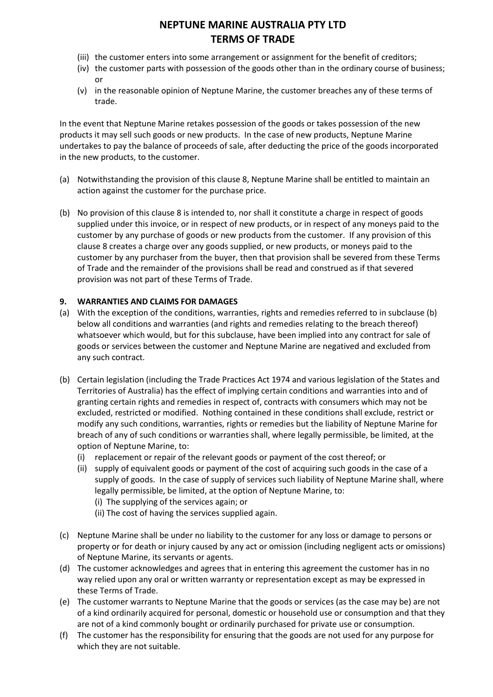- (iii) the customer enters into some arrangement or assignment for the benefit of creditors;
- (iv) the customer parts with possession of the goods other than in the ordinary course of business; or
- (v) in the reasonable opinion of Neptune Marine, the customer breaches any of these terms of trade.

In the event that Neptune Marine retakes possession of the goods or takes possession of the new products it may sell such goods or new products. In the case of new products, Neptune Marine undertakes to pay the balance of proceeds of sale, after deducting the price of the goods incorporated in the new products, to the customer.

- (a) Notwithstanding the provision of this clause 8, Neptune Marine shall be entitled to maintain an action against the customer for the purchase price.
- (b) No provision of this clause 8 is intended to, nor shall it constitute a charge in respect of goods supplied under this invoice, or in respect of new products, or in respect of any moneys paid to the customer by any purchase of goods or new products from the customer. If any provision of this clause 8 creates a charge over any goods supplied, or new products, or moneys paid to the customer by any purchaser from the buyer, then that provision shall be severed from these Terms of Trade and the remainder of the provisions shall be read and construed as if that severed provision was not part of these Terms of Trade.

## **9. WARRANTIES AND CLAIMS FOR DAMAGES**

- (a) With the exception of the conditions, warranties, rights and remedies referred to in subclause (b) below all conditions and warranties (and rights and remedies relating to the breach thereof) whatsoever which would, but for this subclause, have been implied into any contract for sale of goods or services between the customer and Neptune Marine are negatived and excluded from any such contract.
- (b) Certain legislation (including the Trade Practices Act 1974 and various legislation of the States and Territories of Australia) has the effect of implying certain conditions and warranties into and of granting certain rights and remedies in respect of, contracts with consumers which may not be excluded, restricted or modified. Nothing contained in these conditions shall exclude, restrict or modify any such conditions, warranties, rights or remedies but the liability of Neptune Marine for breach of any of such conditions or warranties shall, where legally permissible, be limited, at the option of Neptune Marine, to:
	- (i) replacement or repair of the relevant goods or payment of the cost thereof; or
	- (ii) supply of equivalent goods or payment of the cost of acquiring such goods in the case of a supply of goods. In the case of supply of services such liability of Neptune Marine shall, where legally permissible, be limited, at the option of Neptune Marine, to:
		- (i) The supplying of the services again; or
		- (ii) The cost of having the services supplied again.
- (c) Neptune Marine shall be under no liability to the customer for any loss or damage to persons or property or for death or injury caused by any act or omission (including negligent acts or omissions) of Neptune Marine, its servants or agents.
- (d) The customer acknowledges and agrees that in entering this agreement the customer has in no way relied upon any oral or written warranty or representation except as may be expressed in these Terms of Trade.
- (e) The customer warrants to Neptune Marine that the goods or services (as the case may be) are not of a kind ordinarily acquired for personal, domestic or household use or consumption and that they are not of a kind commonly bought or ordinarily purchased for private use or consumption.
- (f) The customer has the responsibility for ensuring that the goods are not used for any purpose for which they are not suitable.